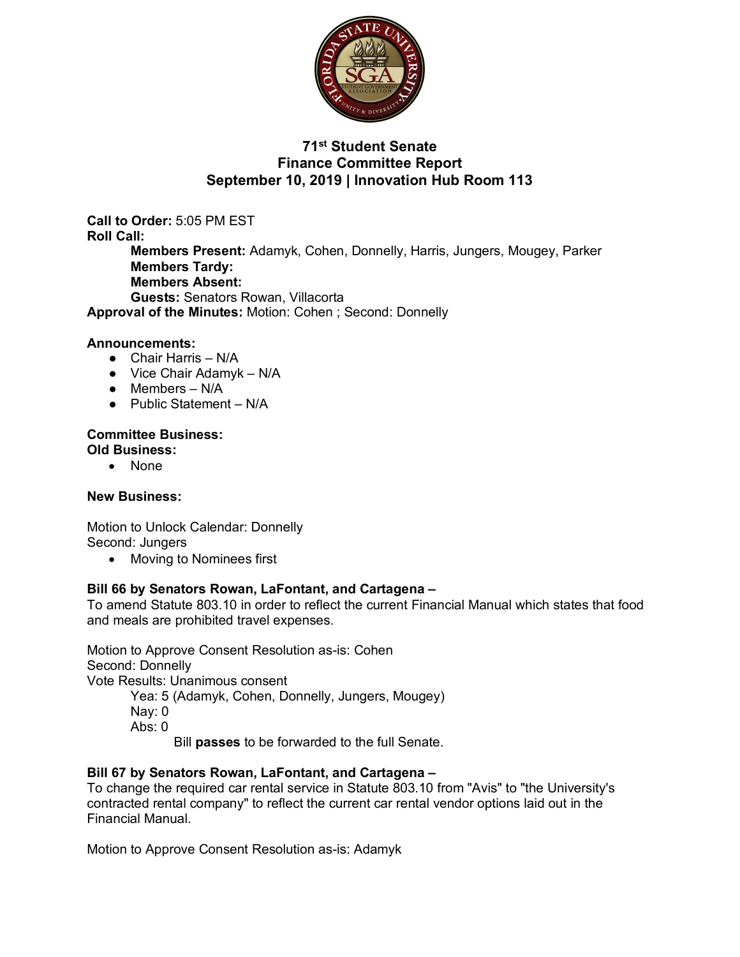

# **71st Student Senate Finance Committee Report September 10, 2019 | Innovation Hub Room 113**

**Call to Order:** 5:05 PM EST **Roll Call: Members Present:** Adamyk, Cohen, Donnelly, Harris, Jungers, Mougey, Parker **Members Tardy: Members Absent: Guests:** Senators Rowan, Villacorta **Approval of the Minutes:** Motion: Cohen ; Second: Donnelly

### **Announcements:**

- Chair Harris N/A
- $\bullet$  Vice Chair Adamyk N/A
- $\bullet$  Members N/A
- Public Statement N/A

#### **Committee Business: Old Business:**

• None

#### **New Business:**

Motion to Unlock Calendar: Donnelly Second: Jungers

• Moving to Nominees first

## **Bill 66 by Senators Rowan, LaFontant, and Cartagena –**

To amend Statute 803.10 in order to reflect the current Financial Manual which states that food and meals are prohibited travel expenses.

Motion to Approve Consent Resolution as-is: Cohen Second: Donnelly Vote Results: Unanimous consent Yea: 5 (Adamyk, Cohen, Donnelly, Jungers, Mougey) Nay: 0

Abs: 0

Bill **passes** to be forwarded to the full Senate.

#### **Bill 67 by Senators Rowan, LaFontant, and Cartagena –**

To change the required car rental service in Statute 803.10 from "Avis" to "the University's contracted rental company" to reflect the current car rental vendor options laid out in the Financial Manual.

Motion to Approve Consent Resolution as-is: Adamyk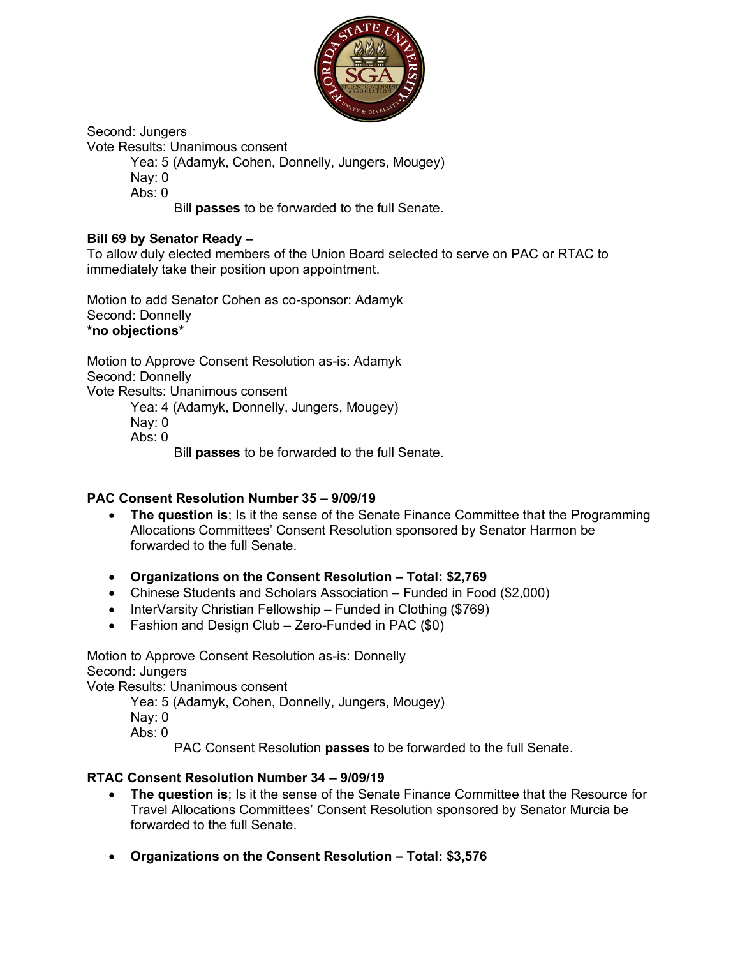

Second: Jungers

Vote Results: Unanimous consent

Yea: 5 (Adamyk, Cohen, Donnelly, Jungers, Mougey)

Nay: 0

 $Abs: 0$ 

Bill **passes** to be forwarded to the full Senate.

## **Bill 69 by Senator Ready –**

To allow duly elected members of the Union Board selected to serve on PAC or RTAC to immediately take their position upon appointment.

Motion to add Senator Cohen as co-sponsor: Adamyk Second: Donnelly **\*no objections\***

Motion to Approve Consent Resolution as-is: Adamyk Second: Donnelly Vote Results: Unanimous consent Yea: 4 (Adamyk, Donnelly, Jungers, Mougey) Nay: 0 Abs: 0 Bill **passes** to be forwarded to the full Senate.

## **PAC Consent Resolution Number 35 – 9/09/19**

- **The question is**; Is it the sense of the Senate Finance Committee that the Programming Allocations Committees' Consent Resolution sponsored by Senator Harmon be forwarded to the full Senate.
- **Organizations on the Consent Resolution – Total: \$2,769**
- Chinese Students and Scholars Association Funded in Food (\$2,000)
- InterVarsity Christian Fellowship Funded in Clothing (\$769)
- Fashion and Design Club Zero-Funded in PAC (\$0)

Motion to Approve Consent Resolution as-is: Donnelly Second: Jungers

Vote Results: Unanimous consent

Yea: 5 (Adamyk, Cohen, Donnelly, Jungers, Mougey)

- Nay: 0
- $Abs: 0$

PAC Consent Resolution **passes** to be forwarded to the full Senate.

# **RTAC Consent Resolution Number 34 – 9/09/19**

- **The question is**; Is it the sense of the Senate Finance Committee that the Resource for Travel Allocations Committees' Consent Resolution sponsored by Senator Murcia be forwarded to the full Senate.
- **Organizations on the Consent Resolution – Total: \$3,576**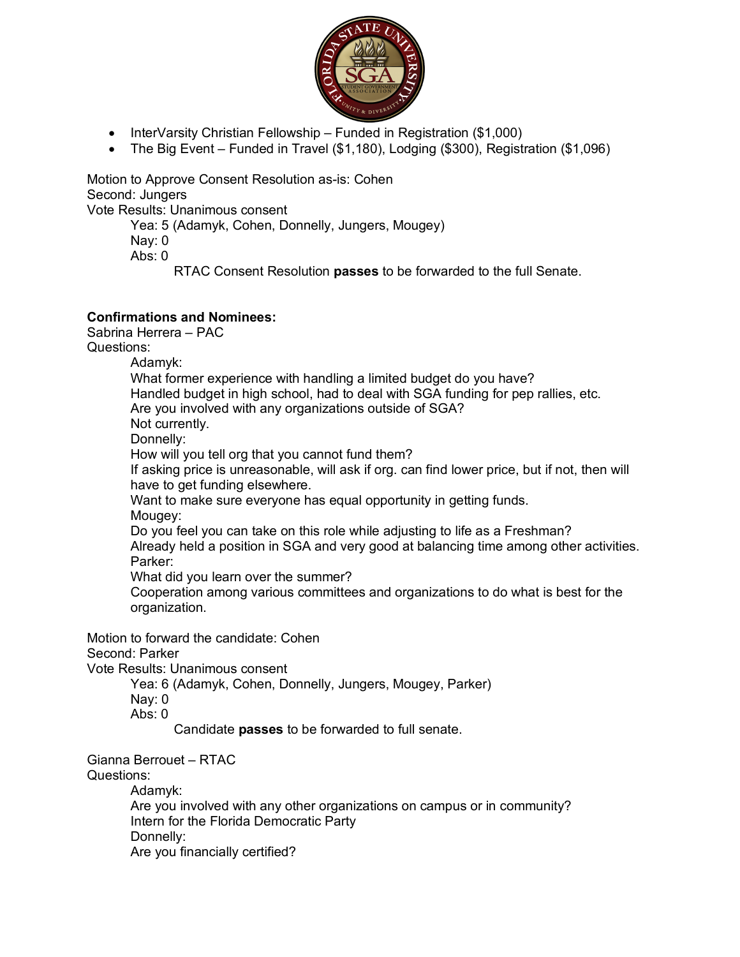

- InterVarsity Christian Fellowship Funded in Registration (\$1,000)
- The Big Event Funded in Travel (\$1,180), Lodging (\$300), Registration (\$1,096)

Motion to Approve Consent Resolution as-is: Cohen Second: Jungers

Vote Results: Unanimous consent

Yea: 5 (Adamyk, Cohen, Donnelly, Jungers, Mougey)

Nay: 0

Abs:  $0$ 

RTAC Consent Resolution **passes** to be forwarded to the full Senate.

## **Confirmations and Nominees:**

Sabrina Herrera – PAC

Questions:

Adamyk:

What former experience with handling a limited budget do you have? Handled budget in high school, had to deal with SGA funding for pep rallies, etc. Are you involved with any organizations outside of SGA? Not currently. Donnelly: How will you tell org that you cannot fund them? If asking price is unreasonable, will ask if org. can find lower price, but if not, then will have to get funding elsewhere. Want to make sure everyone has equal opportunity in getting funds. Mougey:

Do you feel you can take on this role while adjusting to life as a Freshman? Already held a position in SGA and very good at balancing time among other activities. Parker:

What did you learn over the summer?

Cooperation among various committees and organizations to do what is best for the organization.

Motion to forward the candidate: Cohen

Second: Parker

Vote Results: Unanimous consent

Yea: 6 (Adamyk, Cohen, Donnelly, Jungers, Mougey, Parker)

Nay: 0

Abs: 0

Candidate **passes** to be forwarded to full senate.

Gianna Berrouet – RTAC Questions:

Adamyk: Are you involved with any other organizations on campus or in community? Intern for the Florida Democratic Party Donnelly: Are you financially certified?